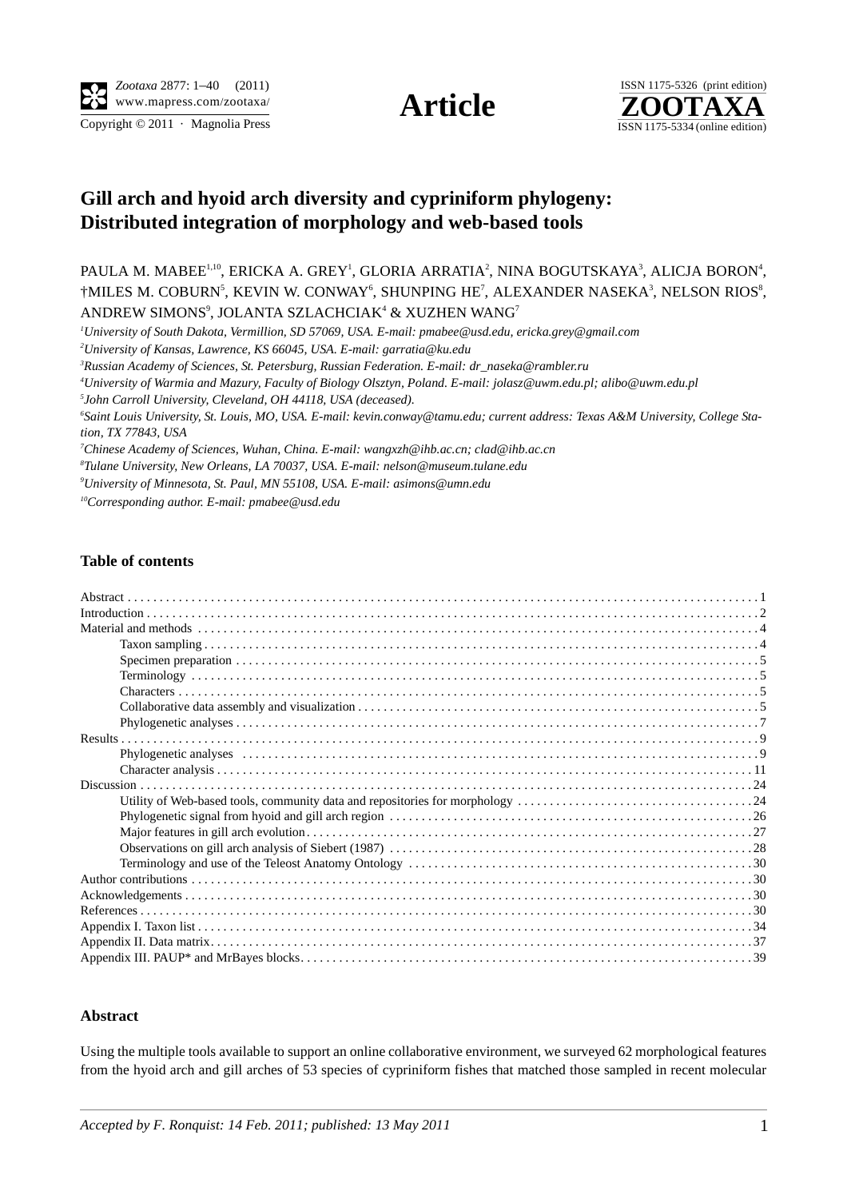



## **[Gill arch and hyoid arch diversity an](nelson@museum.tulane.edu)[d cyp](asimons@umn.edu)[riniform](mailto:garratia@ku.edu) [phylogen](mailto:pmabee@usd.edu)[y:](jolasz@uwm.edu.pl)  [Di](dr_naseka@rambler.ru)[stributed integratio](clad@ihb.ac.cn)[n of morphology and web-based tools](alibo@uwm.edu.pl)**

PAULA M. MABEE<sup>1,10</sup>, ERICKA A. GREY<sup>1</sup>, GLORIA ARRATIA<sup>2</sup>, NINA BOGUTSKAYA<sup>3</sup>, ALICJA BORON<sup>4</sup>, †MILES M. COBURN<sup>5</sup>, KEVIN W. CONWAY<sup>6</sup>, SHUNPING HE<sup>7</sup>, ALEXANDER NASEKA<sup>3</sup>, NELSON RIOS<sup>8</sup>, ANDREW SIMONS<sup>9</sup>, JOLANTA SZLACHCIAK<sup>4</sup> & XUZHEN WANG<sup>7</sup>

*1 University of South Dakota, Vermillion, SD 57069, USA. E-mail: pmabee@usd.edu, ericka.grey@gmail.com*

*2 University of Kansas, Lawrence, KS 66045, USA. E-mail: garratia@ku.edu*

*3 Russian Academy of Sciences, St. Petersburg, Russian Federation. E-mail: dr\_naseka@rambler.ru* 

*4 University of Warmia and Mazury, Faculty of Biology Olsztyn, Poland. E-mail: jolasz@uwm.edu.pl; alibo@uwm.edu.pl*

*5 John Carroll University, Cleveland, OH 44118, USA (deceased).*

*6 Saint Louis University, St. Louis, MO, USA. E-mail: kevin.conway@tamu.edu; current address: Texas A&M University, College Station, TX 77843, USA*

*7 Chinese Academy of Sciences, Wuhan, China. E-mail: wangxzh@ihb.ac.cn; clad@ihb.ac.cn*

*8 Tulane University, New Orleans, LA 70037, USA. E-mail: nelson@museum.tulane.edu*

*9 University of Minnesota, St. Paul, MN 55108, USA. E-mail: asimons@umn.edu*

*10Corresponding author. E-mail: [pmabee@usd.edu](/src/compose.php?send_to=pmabee%40usd.edu)*

## **Table of contents**

## **Abstract**

Using the multiple tools available to support an online collaborative environment, we surveyed 62 morphological features from the hyoid arch and gill arches of 53 species of cypriniform fishes that matched those sampled in recent molecular